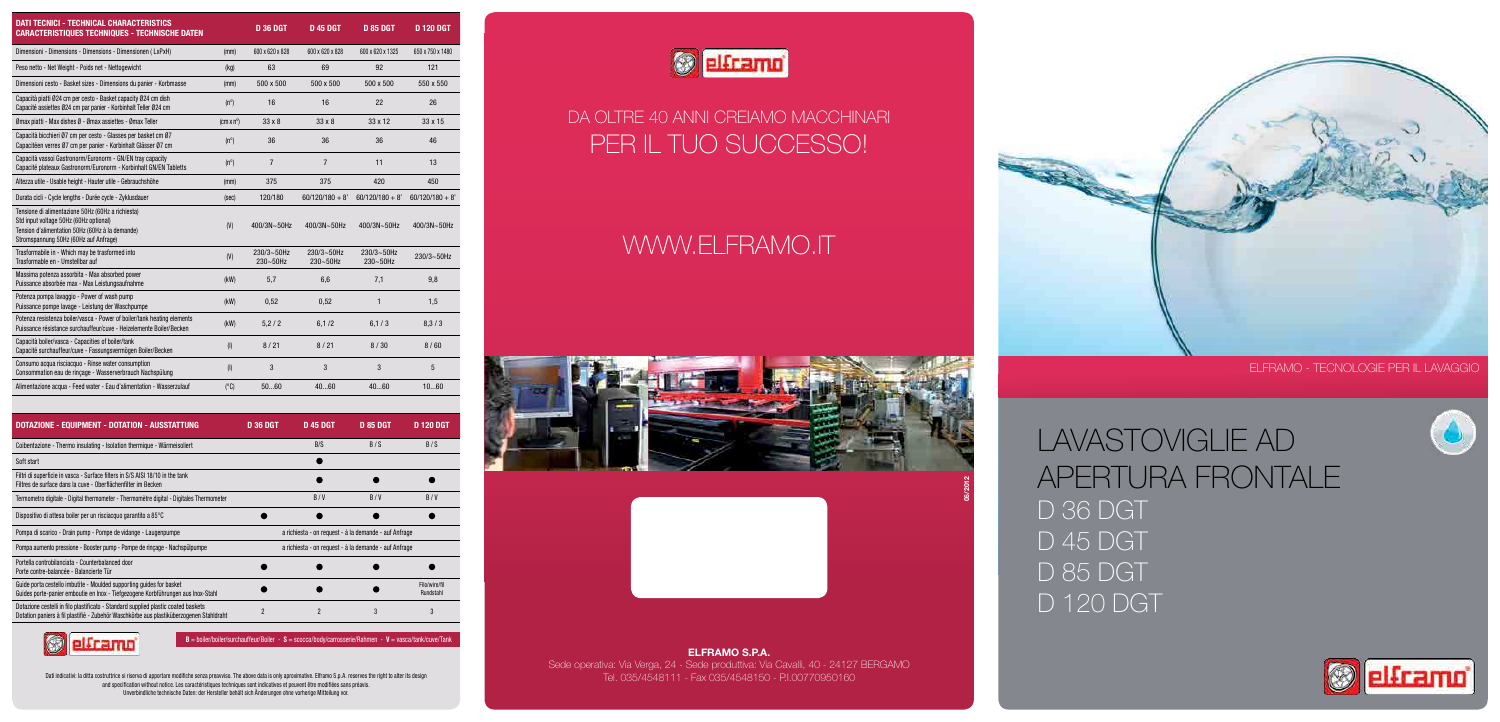## ELFRAMO - TECNOLOGIE PER IL LAVAGGIO



LAVASTOVIGLIE AD APERTURA FRONTALE D 36 DGT D 45 DGT D 85 DGT D 120 DGT





| <b>DATI TECNICI - TECHNICAL CHARACTERISTICS</b><br><b>CARACTERISTIQUES TECHNIQUES - TECHNISCHE DATEN</b>                                                                                |                        | <b>D 36 DGT</b>        | <b>D 45 DGT</b>             | <b>D 85 DGT</b>             | <b>D 120 DGT</b>  |
|-----------------------------------------------------------------------------------------------------------------------------------------------------------------------------------------|------------------------|------------------------|-----------------------------|-----------------------------|-------------------|
| Dimensioni - Dimensions - Dimensions - Dimensionen (LxPxH)                                                                                                                              | (mm)                   | 600 x 620 x 828        | 600 x 620 x 828             | 600 x 620 x 1325            | 650 x 750 x 1480  |
| Peso netto - Net Weight - Poids net - Nettogewicht                                                                                                                                      | (kg)                   | 63                     | 69                          | 92                          | 121               |
| Dimensioni cesto - Basket sizes - Dimensions du panier - Korbmasse                                                                                                                      | (mm)                   | 500 x 500              | 500 x 500                   | 500 x 500                   | 550 x 550         |
| Capacità piatti Ø24 cm per cesto - Basket capacity Ø24 cm dish<br>Capacité assiettes Ø24 cm par panier - Korbinhalt Teller Ø24 cm                                                       | $(n^{\circ})$          | 16                     | 16                          | 22                          | 26                |
| Ømax piatti - Max dishes Ø - Ømax assiettes - Ømax Teller                                                                                                                               | $/cm \times n^{\circ}$ | $33 \times 8$          | $33 \times 8$               | 33 x 12                     | 33 x 15           |
| Capacità bicchieri Ø7 cm per cesto - Glasses per basket cm Ø7<br>Capacitéen verres Ø7 cm per panier - Korbinhalt Glässer Ø7 cm                                                          | $(n^{\circ})$          | 36                     | 36                          | 36                          | 46                |
| Capacità vassoi Gastronorm/Euronorm - GN/EN tray capacity<br>Capacité plateaux Gastronorm/Euronorm - Korbinhalt GN/EN Tabletts                                                          | $(n^{\circ})$          | $\overline{7}$         | $\overline{7}$              | 11                          | 13                |
| Altezza utile - Usable height - Hauter utile - Gebrauchshöhe                                                                                                                            | (mm)                   | 375                    | 375                         | 420                         | 450               |
| Durata cicli - Cycle lengths - Durée cycle - Zyklusdauer                                                                                                                                | (sec)                  | 120/180                | $60/120/180 + 8'$           | $60/120/180 + 8'$           | $60/120/180 + 8'$ |
| Tensione di alimentazione 50Hz (60Hz a richiesta)<br>Std input voltage 50Hz (60Hz optional)<br>Tension d'alimentation 50Hz (60Hz à la demande)<br>Stromspannung 50Hz (60Hz auf Anfrage) | (V)                    | 400/3N~50Hz            | 400/3N~50Hz                 | 400/3N~50Hz                 | 400/3N~50Hz       |
| Trasformabile in - Which may be trasformed into<br>Trasformable en - Umstellbar auf                                                                                                     | (V)                    | 230/3~50Hz<br>230~50Hz | 230/3~50Hz<br>$230 - 50$ Hz | 230/3~50Hz<br>$230 - 50$ Hz | $230/3 - 50$ Hz   |
| Massima potenza assorbita - Max absorbed power<br>Puissance absorbée max - Max Leistungsaufnahme                                                                                        | (kW)                   | 5,7                    | 6,6                         | 7,1                         | 9,8               |
| Potenza pompa lavaggio - Power of wash pump<br>Puissance pompe lavage - Leistung der Waschpumpe                                                                                         | (kW)                   | 0,52                   | 0,52                        | $\mathbf{1}$                | 1,5               |
| Potenza resistenza boiler/vasca - Power of boiler/tank heating elements<br>Puissance résistance surchauffeur/cuve - Heizelemente Boiler/Becken                                          | (kW)                   | 5,2/2                  | 6,1/2                       | 6, 1/3                      | 8, 3 / 3          |
| Capacità boiler/vasca - Capacities of boiler/tank<br>Capacité surchauffeur/cuve - Fassungsvermögen Boiler/Becken                                                                        | $($ l $)$              | 8/21                   | 8/21                        | 8/30                        | 8/60              |
| Consumo acqua risciacquo - Rinse water consumption<br>Consommation eau de rinçage - Wasserverbrauch Nachspülung                                                                         | $($ l $)$              | 3                      | 3                           | 3                           | 5                 |
| Alimentazione acqua - Feed water - Eau d'alimentation - Wasserzulauf                                                                                                                    | $(^{\circ}C)$          | 5060                   | 4060                        | 4060                        | 1060              |

Dati indicativi: la ditta costruttrice si riserva di apportare modifiche senza preavviso. The above data is only aproximative. Elframo S.p.A. reserves the right to alter its design and specification without notice. Les caractéristiques techniques sont indicatives et peuvent être modifiées sans préavis. Unverbindliche technische Daten: der Hersteller behält sich Änderungen ohne vorherige Mitteilung vor.



# DA OLTRE 40 ANNI CREIAMO MACCHINARI PER IL TUO SUCCESSO!

| <b>DOTAZIONE - EQUIPMENT - DOTATION - AUSSTATTUNG</b>                                                                                                                         | <b>D 36 DGT</b>                                       | <b>D 45 DGT</b>          | <b>D 85 DGT</b> | D 120 DGT                  |  |
|-------------------------------------------------------------------------------------------------------------------------------------------------------------------------------|-------------------------------------------------------|--------------------------|-----------------|----------------------------|--|
| Coibentazione - Thermo insulating - Isolation thermique - Wärmeisoliert                                                                                                       |                                                       | B/S                      | B/S             | B/S                        |  |
| Soft start                                                                                                                                                                    |                                                       |                          |                 |                            |  |
| Filtri di superficie in vasca - Surface filters in S/S AISI 18/10 in the tank<br>Filtres de surface dans la cuve - Oberflächenfilter im Becken                                |                                                       |                          |                 |                            |  |
| Termometro digitale - Digital thermometer - Thermomètre digital - Digitales Thermometer                                                                                       |                                                       | B/V                      | B/V             | B/V                        |  |
| Dispositivo di attesa boiler per un risciacquo garantito a 85°C                                                                                                               |                                                       |                          |                 |                            |  |
| Pompa di scarico - Drain pump - Pompe de vidange - Laugenpumpe                                                                                                                | a richiesta - on request - à la demande - auf Anfrage |                          |                 |                            |  |
| Pompa aumento pressione - Booster pump - Pompe de rinçage - Nachspülpumpe                                                                                                     | a richiesta - on request - à la demande - auf Anfrage |                          |                 |                            |  |
| Portella controbilanciata - Counterbalanced door<br>Porte contre-balancée - Balancierte Tür                                                                                   |                                                       |                          |                 |                            |  |
| Guide porta cestello imbutite - Moulded supporting guides for basket<br>Guides porte-panier emboutie en Inox - Tiefgezogene Korbführungen aus Inox-Stahl                      |                                                       |                          |                 | Filo/wire/fil<br>Rundstahl |  |
| Dotazione cestelli in filo plastificato - Standard supplied plastic coated baskets<br>Dotation paniers à fil plastifié - Zubehör Waschkörbe aus plastiküberzogenen Stahldraht | 2                                                     | $\overline{\phantom{a}}$ |                 |                            |  |



 $B =$  boiler/boiler/surchauffeur/Boiler - S = scocca/body/carrosserie/Rahmen - V = vasca/tank/cuve/Tank

# WWW.ELFRAMO.IT

ELFRAMO S.P.A.

Sede operativa: Via Verga, 24 - Sede produttiva: Via Cavalli, 40 - 24127 BERGAMO Tel. 035/4548111 - Fax 035/4548150 - P.I.00770950160